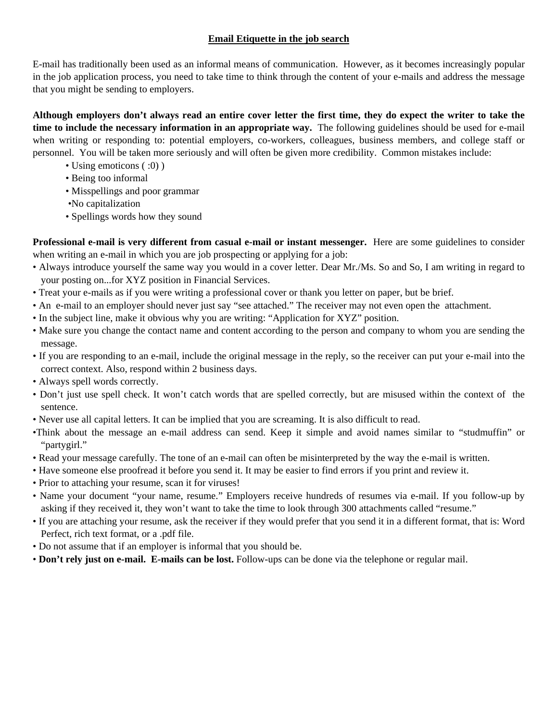## **Email Etiquette in the job search**

E-mail has traditionally been used as an informal means of communication. However, as it becomes increasingly popular in the job application process, you need to take time to think through the content of your e-mails and address the message that you might be sending to employers.

**Although employers don't always read an entire cover letter the first time, they do expect the writer to take the time to include the necessary information in an appropriate way.** The following guidelines should be used for e-mail when writing or responding to: potential employers, co-workers, colleagues, business members, and college staff or personnel. You will be taken more seriously and will often be given more credibility. Common mistakes include:

- Using emoticons (:0))
- Being too informal
- Misspellings and poor grammar
- •No capitalization
- Spellings words how they sound

**Professional e-mail is very different from casual e-mail or instant messenger.** Here are some guidelines to consider when writing an e-mail in which you are job prospecting or applying for a job:

- Always introduce yourself the same way you would in a cover letter. Dear Mr./Ms. So and So, I am writing in regard to your posting on...for XYZ position in Financial Services.
- Treat your e-mails as if you were writing a professional cover or thank you letter on paper, but be brief.
- An e-mail to an employer should never just say "see attached." The receiver may not even open the attachment.
- In the subject line, make it obvious why you are writing: "Application for XYZ" position.
- Make sure you change the contact name and content according to the person and company to whom you are sending the message.
- If you are responding to an e-mail, include the original message in the reply, so the receiver can put your e-mail into the correct context. Also, respond within 2 business days.
- Always spell words correctly.
- Don't just use spell check. It won't catch words that are spelled correctly, but are misused within the context of the sentence.
- Never use all capital letters. It can be implied that you are screaming. It is also difficult to read.
- •Think about the message an e-mail address can send. Keep it simple and avoid names similar to "studmuffin" or "partygirl."
- Read your message carefully. The tone of an e-mail can often be misinterpreted by the way the e-mail is written.
- Have someone else proofread it before you send it. It may be easier to find errors if you print and review it.
- Prior to attaching your resume, scan it for viruses!
- Name your document "your name, resume." Employers receive hundreds of resumes via e-mail. If you follow-up by asking if they received it, they won't want to take the time to look through 300 attachments called "resume."
- If you are attaching your resume, ask the receiver if they would prefer that you send it in a different format, that is: Word Perfect, rich text format, or a .pdf file.
- Do not assume that if an employer is informal that you should be.
- **Don't rely just on e-mail. E-mails can be lost.** Follow-ups can be done via the telephone or regular mail.